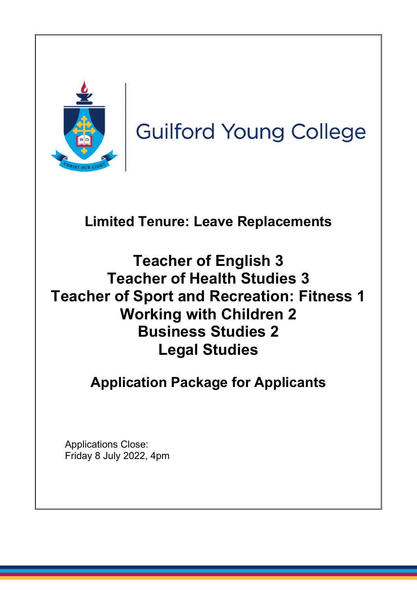

**Guilford Young College** 

# **Limited Tenure: Leave Replacements**

# **Teacher of English 3 Teacher of Health Studies 3 Teacher of Sport and Recreation: Fitness 1 Working with Children 2 Business Studies 2 Legal Studies**

## **Application Package for Applicants**

Applications Close: Friday 8 July 2022, 4pm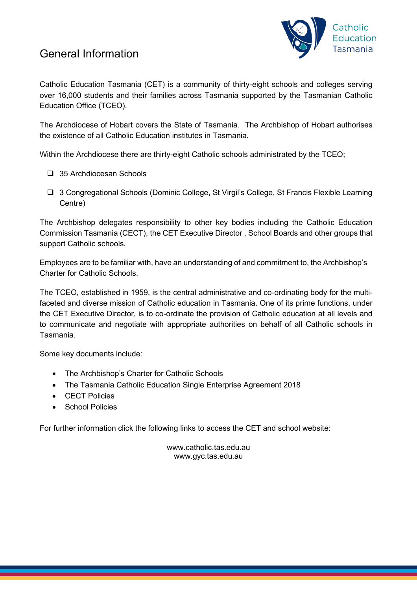## General Information



Catholic Education Tasmania (CET) is a community of thirty-eight schools and colleges serving over 16,000 students and their families across Tasmania supported by the Tasmanian Catholic Education Office (TCEO).

The Archdiocese of Hobart covers the State of Tasmania. The Archbishop of Hobart authorises the existence of all Catholic Education institutes in Tasmania.

Within the Archdiocese there are thirty-eight Catholic schools administrated by the TCEO;

- □ 35 Archdiocesan Schools
- □ 3 Congregational Schools (Dominic College, St Virgil's College, St Francis Flexible Learning Centre)

The Archbishop delegates responsibility to other key bodies including the Catholic Education Commission Tasmania (CECT), the CET Executive Director , School Boards and other groups that support Catholic schools.

Employees are to be familiar with, have an understanding of and commitment to, the Archbishop's Charter for Catholic Schools.

The TCEO, established in 1959, is the central administrative and co-ordinating body for the multifaceted and diverse mission of Catholic education in Tasmania. One of its prime functions, under the CET Executive Director, is to co-ordinate the provision of Catholic education at all levels and to communicate and negotiate with appropriate authorities on behalf of all Catholic schools in Tasmania.

Some key documents include:

- The Archbishop's Charter for Catholic Schools
- The Tasmania Catholic Education Single Enterprise Agreement 2018
- CECT Policies
- School Policies

For further information click the following links to access the CET and school website:

www[.catholic.tas.edu.au](http://catholic.tas.edu.au/) www.gyc.tas.edu.au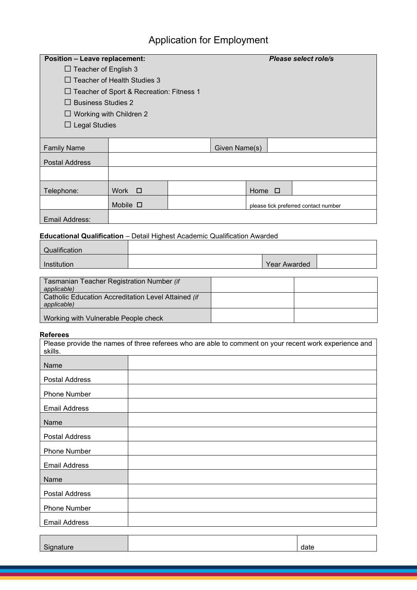## Application for Employment

| <b>Position - Leave replacement:</b>            |                      |  |               | Please select role/s |                                      |  |
|-------------------------------------------------|----------------------|--|---------------|----------------------|--------------------------------------|--|
| $\Box$ Teacher of English 3                     |                      |  |               |                      |                                      |  |
| $\Box$ Teacher of Health Studies 3              |                      |  |               |                      |                                      |  |
| $\Box$ Teacher of Sport & Recreation: Fitness 1 |                      |  |               |                      |                                      |  |
| $\Box$ Business Studies 2                       |                      |  |               |                      |                                      |  |
| $\Box$ Working with Children 2                  |                      |  |               |                      |                                      |  |
|                                                 | $\Box$ Legal Studies |  |               |                      |                                      |  |
|                                                 |                      |  |               |                      |                                      |  |
| <b>Family Name</b>                              |                      |  | Given Name(s) |                      |                                      |  |
| <b>Postal Address</b>                           |                      |  |               |                      |                                      |  |
|                                                 |                      |  |               |                      |                                      |  |
| Telephone:                                      | Work $\square$       |  |               | Home $\Box$          |                                      |  |
|                                                 | Mobile $\square$     |  |               |                      | please tick preferred contact number |  |
| Email Address:                                  |                      |  |               |                      |                                      |  |

### **Educational Qualification** – Detail Highest Academic Qualification Awarded

| Qualification |              |  |
|---------------|--------------|--|
| Institution   | Year Awarded |  |

| Tasmanian Teacher Registration Number (if                          |  |
|--------------------------------------------------------------------|--|
| applicable)                                                        |  |
| Catholic Education Accreditation Level Attained (if<br>applicable) |  |
| Working with Vulnerable People check                               |  |

#### **Referees**

|                       | Please provide the names of three referees who are able to comment on your recent work experience and |
|-----------------------|-------------------------------------------------------------------------------------------------------|
| skills.               |                                                                                                       |
| Name                  |                                                                                                       |
| Postal Address        |                                                                                                       |
| <b>Phone Number</b>   |                                                                                                       |
| <b>Email Address</b>  |                                                                                                       |
| Name                  |                                                                                                       |
| Postal Address        |                                                                                                       |
| <b>Phone Number</b>   |                                                                                                       |
| <b>Email Address</b>  |                                                                                                       |
| Name                  |                                                                                                       |
| <b>Postal Address</b> |                                                                                                       |
| <b>Phone Number</b>   |                                                                                                       |
| <b>Email Address</b>  |                                                                                                       |
|                       |                                                                                                       |

Signature date date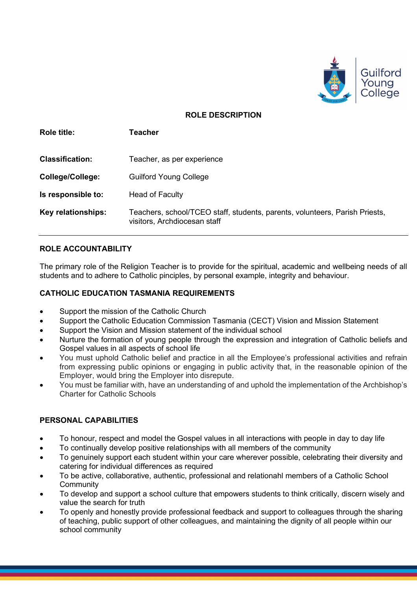

#### **ROLE DESCRIPTION**

| <b>Role title:</b>      | Teacher                                                                                                     |
|-------------------------|-------------------------------------------------------------------------------------------------------------|
| <b>Classification:</b>  | Teacher, as per experience                                                                                  |
| <b>College/College:</b> | <b>Guilford Young College</b>                                                                               |
| Is responsible to:      | <b>Head of Faculty</b>                                                                                      |
| Key relationships:      | Teachers, school/TCEO staff, students, parents, volunteers, Parish Priests,<br>visitors, Archdiocesan staff |

#### **ROLE ACCOUNTABILITY**

The primary role of the Religion Teacher is to provide for the spiritual, academic and wellbeing needs of all students and to adhere to Catholic pinciples, by personal example, integrity and behaviour.

#### **CATHOLIC EDUCATION TASMANIA REQUIREMENTS**

- Support the mission of the Catholic Church
- Support the Catholic Education Commission Tasmania (CECT) Vision and Mission Statement
- Support the Vision and Mission statement of the individual school
- Nurture the formation of young people through the expression and integration of Catholic beliefs and Gospel values in all aspects of school life
- You must uphold Catholic belief and practice in all the Employee's professional activities and refrain from expressing public opinions or engaging in public activity that, in the reasonable opinion of the Employer, would bring the Employer into disrepute.
- You must be familiar with, have an understanding of and uphold the implementation of the Archbishop's Charter for Catholic Schools

#### **PERSONAL CAPABILITIES**

- To honour, respect and model the Gospel values in all interactions with people in day to day life
- To continually develop positive relationships with all members of the community
- To genuinely support each student within your care wherever possible, celebrating their diversity and catering for individual differences as required
- To be active, collaborative, authentic, professional and relationahl members of a Catholic School **Community**
- To develop and support a school culture that empowers students to think critically, discern wisely and value the search for truth
- To openly and honestly provide professional feedback and support to colleagues through the sharing of teaching, public support of other colleagues, and maintaining the dignity of all people within our school community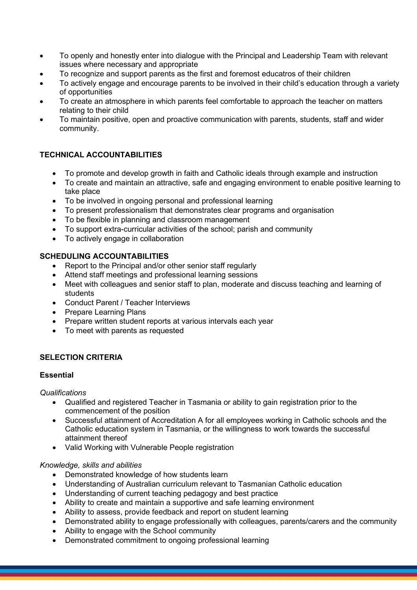- To openly and honestly enter into dialogue with the Principal and Leadership Team with relevant issues where necessary and appropriate
- To recognize and support parents as the first and foremost educatros of their children
- To actively engage and encourage parents to be involved in their child's education through a variety of opportunities
- To create an atmosphere in which parents feel comfortable to approach the teacher on matters relating to their child
- To maintain positive, open and proactive communication with parents, students, staff and wider community.

#### **TECHNICAL ACCOUNTABILITIES**

- To promote and develop growth in faith and Catholic ideals through example and instruction
- To create and maintain an attractive, safe and engaging environment to enable positive learning to take place
- To be involved in ongoing personal and professional learning
- To present professionalism that demonstrates clear programs and organisation
- To be flexible in planning and classroom management
- To support extra-curricular activities of the school; parish and community
- To actively engage in collaboration

#### **SCHEDULING ACCOUNTABILITIES**

- Report to the Principal and/or other senior staff regularly
- Attend staff meetings and professional learning sessions
- Meet with colleagues and senior staff to plan, moderate and discuss teaching and learning of students
- Conduct Parent / Teacher Interviews
- Prepare Learning Plans
- Prepare written student reports at various intervals each year
- To meet with parents as requested

#### **SELECTION CRITERIA**

#### **Essential**

*Qualifications*

- Qualified and registered Teacher in Tasmania or ability to gain registration prior to the commencement of the position
- Successful attainment of Accreditation A for all employees working in Catholic schools and the Catholic education system in Tasmania, or the willingness to work towards the successful attainment thereof
- Valid Working with Vulnerable People registration

#### *Knowledge, skills and abilities*

- Demonstrated knowledge of how students learn
- Understanding of Australian curriculum relevant to Tasmanian Catholic education
- Understanding of current teaching pedagogy and best practice
- Ability to create and maintain a supportive and safe learning environment
- Ability to assess, provide feedback and report on student learning
- Demonstrated ability to engage professionally with colleagues, parents/carers and the community
- Ability to engage with the School community
- Demonstrated commitment to ongoing professional learning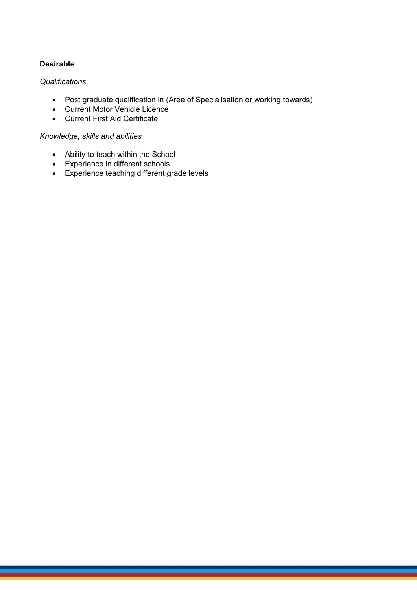#### **Desirabl**e

#### *Qualifications*

- Post graduate qualification in (Area of Specialisation or working towards)
- Current Motor Vehicle Licence
- Current First Aid Certificate

#### *Knowledge, skills and abilities*

- Ability to teach within the School
- Experience in different schools
- Experience teaching different grade levels